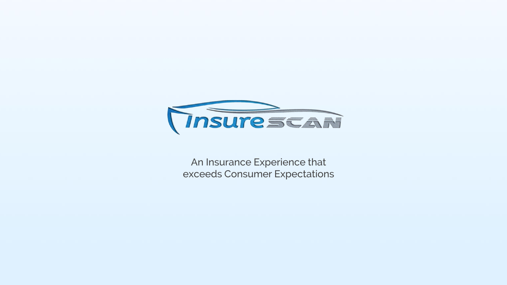

An Insurance Experience that exceeds Consumer Expectations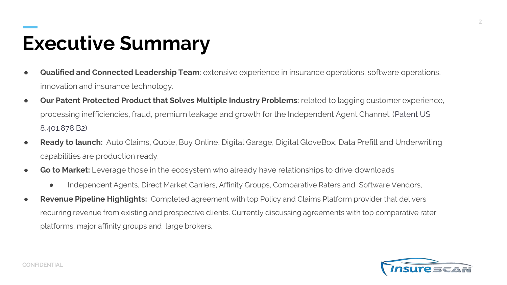## **Executive Summary**

- **Qualified and Connected Leadership Team**: extensive experience in insurance operations, software operations, innovation and insurance technology.
- **Our Patent Protected Product that Solves Multiple Industry Problems:** related to lagging customer experience, processing inefficiencies, fraud, premium leakage and growth for the Independent Agent Channel. (Patent US 8,401,878 B2)
- **Ready to launch:** Auto Claims, Quote, Buy Online, Digital Garage, Digital GloveBox, Data Prefill and Underwriting capabilities are production ready.
- **Go to Market:** Leverage those in the ecosystem who already have relationships to drive downloads
	- Independent Agents, Direct Market Carriers, Affinity Groups, Comparative Raters and Software Vendors,
- **Revenue Pipeline Highlights:** Completed agreement with top Policy and Claims Platform provider that delivers recurring revenue from existing and prospective clients. Currently discussing agreements with top comparative rater platforms, major affinity groups and large brokers.



**2**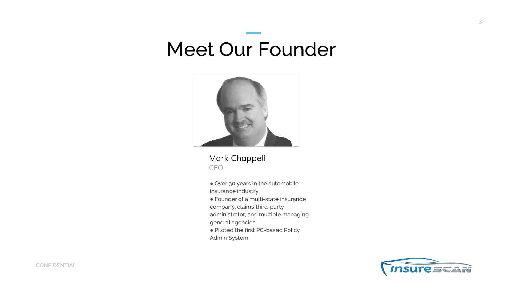## Meet Our Founder



Mark Chappell CEO

● Over 30 years in the automobile insurance industry.

● Founder of a multi-state insurance

company. claims third-party

administrator, and multiple managing

general agencies.

● Piloted the first PC-based Policy

Admin System.

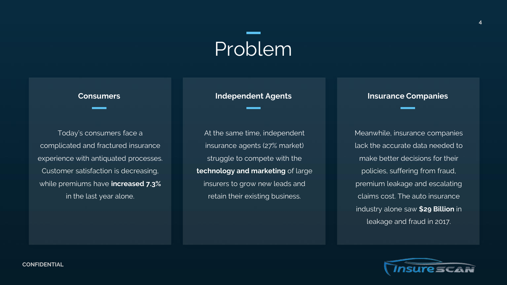# Problem

Today's consumers face a complicated and fractured insurance experience with antiquated processes. Customer satisfaction is decreasing, while premiums have **increased 7.3%** in the last year alone.

At the same time, independent insurance agents (27% market) struggle to compete with the **technology and marketing** of large insurers to grow new leads and retain their existing business.

### **Consumers Independent Agents Insurance Companies**

Meanwhile, insurance companies lack the accurate data needed to make better decisions for their policies, suffering from fraud, premium leakage and escalating claims cost. The auto insurance industry alone saw **\$29 Billion** in leakage and fraud in 2017.



**4**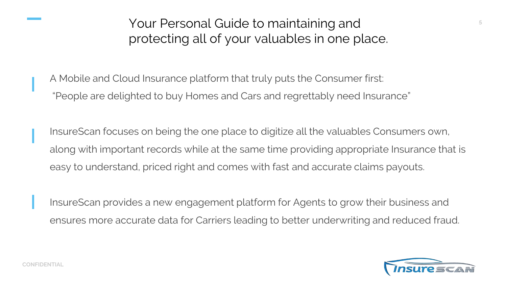Your Personal Guide to maintaining and protecting all of your valuables in one place.

A Mobile and Cloud Insurance platform that truly puts the Consumer first: "People are delighted to buy Homes and Cars and regrettably need Insurance"

InsureScan focuses on being the one place to digitize all the valuables Consumers own, along with important records while at the same time providing appropriate Insurance that is easy to understand, priced right and comes with fast and accurate claims payouts.

InsureScan provides a new engagement platform for Agents to grow their business and ensures more accurate data for Carriers leading to better underwriting and reduced fraud.



**5**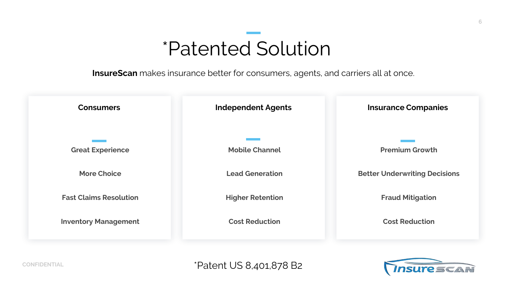## \*Patented Solution

**InsureScan** makes insurance better for consumers, agents, and carriers all at once.



\*Patent US 8,401,878 B2

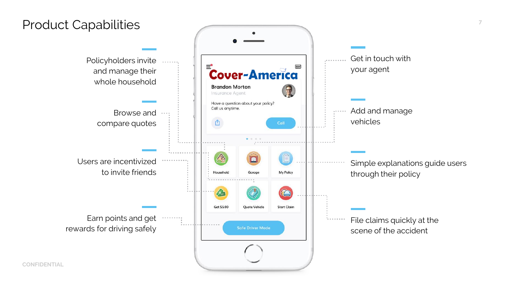### Product Capabilities

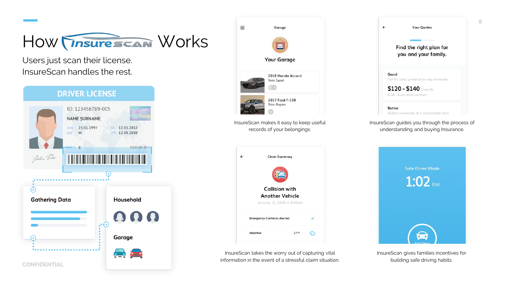

Users just scan their license. InsureScan handles the rest.





InsureScan takes the worry out of capturing vital information in the event of a stressful claim situation.

 $=$ 

 $\leftarrow$ 

InsureScan gives families incentives for building safe driving habits.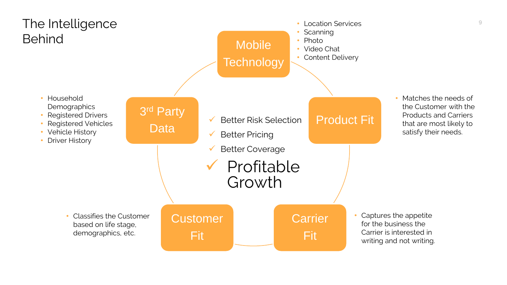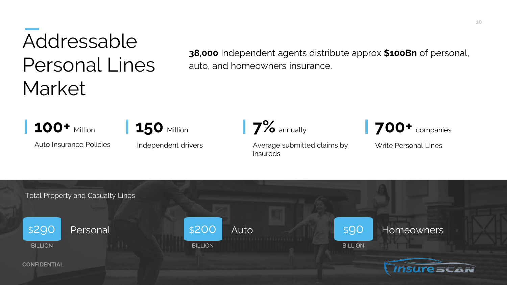# Addressable Personal Lines **Market**

**38,000** Independent agents distribute approx **\$100Bn** of personal, auto, and homeowners insurance.

**100+** Million

**150** Million

Auto Insurance Policies

Independent drivers

Average submitted claims by insureds

**7%** annually **700+** companies

Write Personal Lines

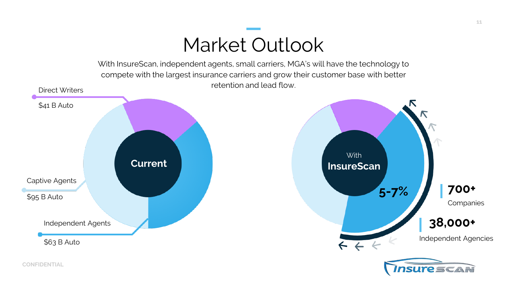## Market Outlook

With InsureScan, independent agents, small carriers, MGA's will have the technology to compete with the largest insurance carriers and grow their customer base with better retention and lead flow.

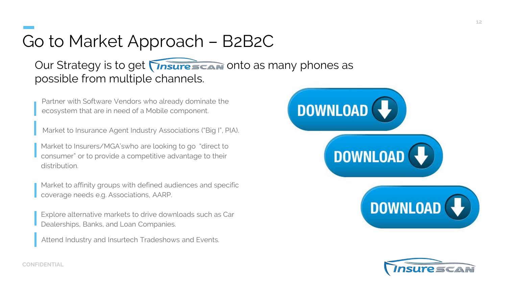## Go to Market Approach – B2B2C

### Our Strategy is to get **Insurescan** onto as many phones as possible from multiple channels.

Partner with Software Vendors who already dominate the ecosystem that are in need of a Mobile component.

Market to Insurance Agent Industry Associations ("Big I", PIA).

Market to Insurers/MGA'swho are looking to go "direct to consumer" or to provide a competitive advantage to their distribution.

Market to affinity groups with defined audiences and specific coverage needs e.g. Associations, AARP.

Explore alternative markets to drive downloads such as Car Dealerships, Banks, and Loan Companies.

Attend Industry and Insurtech Tradeshows and Events.





**CONFIDENTIAL**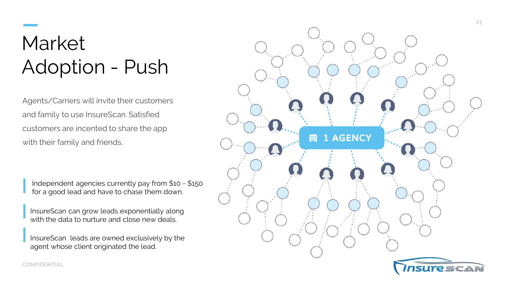## Market Adoption - Push

Agents/Carriers will invite their customers and family to use InsureScan. Satisfied customers are incented to share the app with their family and friends.

Independent agencies currently pay from \$10 - \$150 for a good lead and have to chase them down.

InsureScan can grow leads exponentially along with the data to nurture and close new deals.

InsureScan leads are owned exclusively by the agent whose client originated the lead.



**CONFIDENTIAL**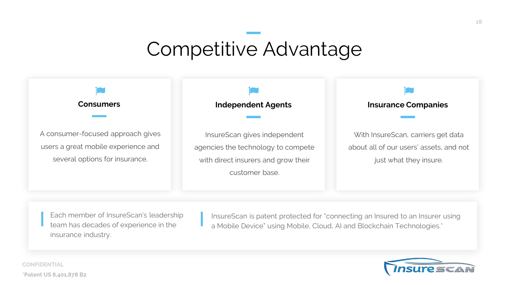## Competitive Advantage

A consumer-focused approach gives users a great mobile experience and several options for insurance.

InsureScan gives independent agencies the technology to compete with direct insurers and grow their customer base.

### **Consumers Independent Agents Insurance Companies**

With InsureScan, carriers get data about all of our users' assets, and not just what they insure.

Each member of InsureScan's leadership team has decades of experience in the insurance industry.

InsureScan is patent protected for "connecting an Insured to an Insurer using a Mobile Device" using Mobile, Cloud, AI and Blockchain Technologies.\*



**CONFIDENTIAL \*Patent US 8,401,878 B2**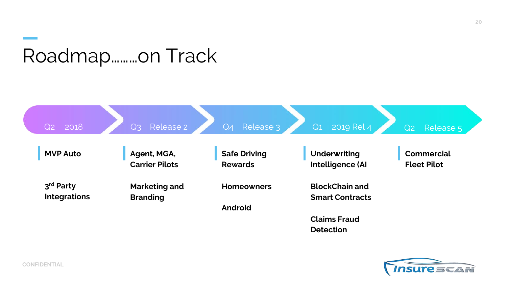## Roadmap………on Track



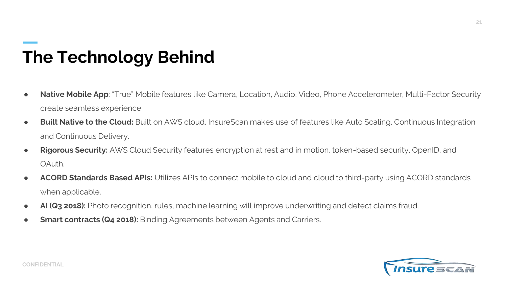## **The Technology Behind**

- **Native Mobile App**: "True" Mobile features like Camera, Location, Audio, Video, Phone Accelerometer, Multi-Factor Security create seamless experience
- **Built Native to the Cloud:** Built on AWS cloud, InsureScan makes use of features like Auto Scaling, Continuous Integration and Continuous Delivery.
- **Rigorous Security:** AWS Cloud Security features encryption at rest and in motion, token-based security, OpenID, and OAuth.
- **ACORD Standards Based APIs:** Utilizes APIs to connect mobile to cloud and cloud to third-party using ACORD standards when applicable.
- **AI (Q3 2018):** Photo recognition, rules, machine learning will improve underwriting and detect claims fraud.
- **Smart contracts (Q4 2018):** Binding Agreements between Agents and Carriers.